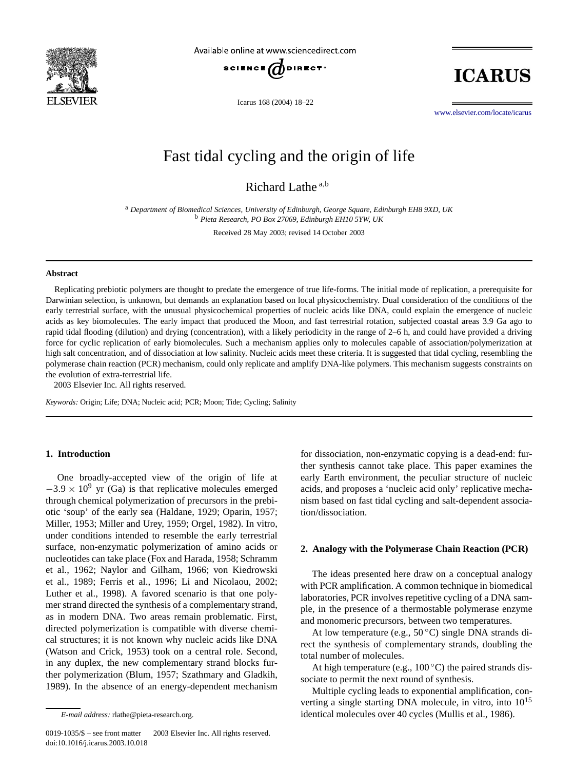

Available online at www.sciencedirect.com



Icarus 168 (2004) 18–22

**ICARUS** 

[www.elsevier.com/locate/icarus](http://www.elsevier.com/locate/icarus)

# Fast tidal cycling and the origin of life

Richard Lathe <sup>a</sup>*,*<sup>b</sup>

<sup>a</sup> *Department of Biomedical Sciences, University of Edinburgh, George Square, Edinburgh EH8 9XD, UK* <sup>b</sup> *Pieta Research, PO Box 27069, Edinburgh EH10 5YW, UK*

Received 28 May 2003; revised 14 October 2003

## **Abstract**

Replicating prebiotic polymers are thought to predate the emergence of true life-forms. The initial mode of replication, a prerequisite for Darwinian selection, is unknown, but demands an explanation based on local physicochemistry. Dual consideration of the conditions of the early terrestrial surface, with the unusual physicochemical properties of nucleic acids like DNA, could explain the emergence of nucleic acids as key biomolecules. The early impact that produced the Moon, and fast terrestrial rotation, subjected coastal areas 3.9 Ga ago to rapid tidal flooding (dilution) and drying (concentration), with a likely periodicity in the range of 2–6 h, and could have provided a driving force for cyclic replication of early biomolecules. Such a mechanism applies only to molecules capable of association/polymerization at high salt concentration, and of dissociation at low salinity. Nucleic acids meet these criteria. It is suggested that tidal cycling, resembling the polymerase chain reaction (PCR) mechanism, could only replicate and amplify DNA-like polymers. This mechanism suggests constraints on the evolution of extra-terrestrial life.

2003 Elsevier Inc. All rights reserved.

*Keywords:* Origin; Life; DNA; Nucleic acid; PCR; Moon; Tide; Cycling; Salinity

# **1. Introduction**

One broadly-accepted view of the origin of life at  $-3.9 \times 10^9$  yr (Ga) is that replicative molecules emerged through chemical polymerization of precursors in the prebiotic 'soup' of the early sea (Haldane, 1929; Oparin, 1957; Miller, 1953; Miller and Urey, 1959; Orgel, 1982). In vitro, under conditions intended to resemble the early terrestrial surface, non-enzymatic polymerization of amino acids or nucleotides can take place (Fox and Harada, 1958; Schramm et al., 1962; Naylor and Gilham, 1966; von Kiedrowski et al., 1989; Ferris et al., 1996; Li and Nicolaou, 2002; Luther et al., 1998). A favored scenario is that one polymer strand directed the synthesis of a complementary strand, as in modern DNA. Two areas remain problematic. First, directed polymerization is compatible with diverse chemical structures; it is not known why nucleic acids like DNA (Watson and Crick, 1953) took on a central role. Second, in any duplex, the new complementary strand blocks further polymerization (Blum, 1957; Szathmary and Gladkih, 1989). In the absence of an energy-dependent mechanism

0019-1035/\$ – see front matter  $\degree$  2003 Elsevier Inc. All rights reserved. doi:10.1016/j.icarus.2003.10.018

for dissociation, non-enzymatic copying is a dead-end: further synthesis cannot take place. This paper examines the early Earth environment, the peculiar structure of nucleic acids, and proposes a 'nucleic acid only' replicative mechanism based on fast tidal cycling and salt-dependent association/dissociation.

#### **2. Analogy with the Polymerase Chain Reaction (PCR)**

The ideas presented here draw on a conceptual analogy with PCR amplification. A common technique in biomedical laboratories, PCR involves repetitive cycling of a DNA sample, in the presence of a thermostable polymerase enzyme and monomeric precursors, between two temperatures.

At low temperature (e.g.,  $50^{\circ}$ C) single DNA strands direct the synthesis of complementary strands, doubling the total number of molecules.

At high temperature (e.g.,  $100\degree C$ ) the paired strands dissociate to permit the next round of synthesis.

Multiple cycling leads to exponential amplification, converting a single starting DNA molecule, in vitro, into 10<sup>15</sup> identical molecules over 40 cycles (Mullis et al., 1986).

*E-mail address:* rlathe@pieta-research.org.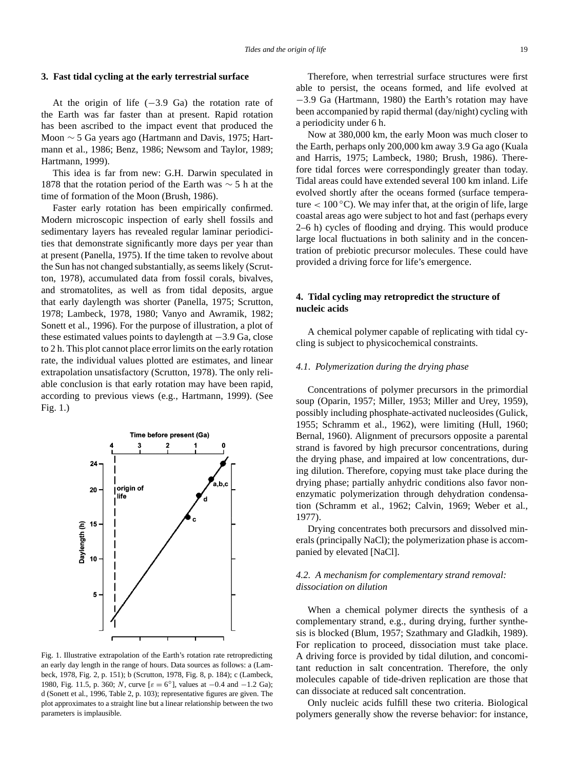# **3. Fast tidal cycling at the early terrestrial surface**

At the origin of life (−3*.*9 Ga) the rotation rate of the Earth was far faster than at present. Rapid rotation has been ascribed to the impact event that produced the Moon ∼ 5 Ga years ago (Hartmann and Davis, 1975; Hartmann et al., 1986; Benz, 1986; Newsom and Taylor, 1989; Hartmann, 1999).

This idea is far from new: G.H. Darwin speculated in 1878 that the rotation period of the Earth was ∼ 5 h at the time of formation of the Moon (Brush, 1986).

Faster early rotation has been empirically confirmed. Modern microscopic inspection of early shell fossils and sedimentary layers has revealed regular laminar periodicities that demonstrate significantly more days per year than at present (Panella, 1975). If the time taken to revolve about the Sun has not changed substantially, as seems likely (Scrutton, 1978), accumulated data from fossil corals, bivalves, and stromatolites, as well as from tidal deposits, argue that early daylength was shorter (Panella, 1975; Scrutton, 1978; Lambeck, 1978, 1980; Vanyo and Awramik, 1982; Sonett et al., 1996). For the purpose of illustration, a plot of these estimated values points to daylength at −3*.*9 Ga, close to 2 h. This plot cannot place error limits on the early rotation rate, the individual values plotted are estimates, and linear extrapolation unsatisfactory (Scrutton, 1978). The only reliable conclusion is that early rotation may have been rapid, according to previous views (e.g., Hartmann, 1999). (See Fig. 1.)



Fig. 1. Illustrative extrapolation of the Earth's rotation rate retropredicting an early day length in the range of hours. Data sources as follows: a (Lambeck, 1978, Fig. 2, p. 151); b (Scrutton, 1978, Fig. 8, p. 184); c (Lambeck, 1980, Fig. 11.5, p. 360; *N*, curve [*ε* = 6◦], values at −0*.*4 and −1*.*2 Ga); d (Sonett et al., 1996, Table 2, p. 103); representative figures are given. The plot approximates to a straight line but a linear relationship between the two parameters is implausible.

Therefore, when terrestrial surface structures were first able to persist, the oceans formed, and life evolved at −3*.*9 Ga (Hartmann, 1980) the Earth's rotation may have been accompanied by rapid thermal (day/night) cycling with a periodicity under 6 h.

Now at 380,000 km, the early Moon was much closer to the Earth, perhaps only 200,000 km away 3.9 Ga ago (Kuala and Harris, 1975; Lambeck, 1980; Brush, 1986). Therefore tidal forces were correspondingly greater than today. Tidal areas could have extended several 100 km inland. Life evolved shortly after the oceans formed (surface temperature  $< 100^{\circ}$ C). We may infer that, at the origin of life, large coastal areas ago were subject to hot and fast (perhaps every 2–6 h) cycles of flooding and drying. This would produce large local fluctuations in both salinity and in the concentration of prebiotic precursor molecules. These could have provided a driving force for life's emergence.

# **4. Tidal cycling may retropredict the structure of nucleic acids**

A chemical polymer capable of replicating with tidal cycling is subject to physicochemical constraints.

## *4.1. Polymerization during the drying phase*

Concentrations of polymer precursors in the primordial soup (Oparin, 1957; Miller, 1953; Miller and Urey, 1959), possibly including phosphate-activated nucleosides (Gulick, 1955; Schramm et al., 1962), were limiting (Hull, 1960; Bernal, 1960). Alignment of precursors opposite a parental strand is favored by high precursor concentrations, during the drying phase, and impaired at low concentrations, during dilution. Therefore, copying must take place during the drying phase; partially anhydric conditions also favor nonenzymatic polymerization through dehydration condensation (Schramm et al., 1962; Calvin, 1969; Weber et al., 1977).

Drying concentrates both precursors and dissolved minerals (principally NaCl); the polymerization phase is accompanied by elevated [NaCl].

# *4.2. A mechanism for complementary strand removal: dissociation on dilution*

When a chemical polymer directs the synthesis of a complementary strand, e.g., during drying, further synthesis is blocked (Blum, 1957; Szathmary and Gladkih, 1989). For replication to proceed, dissociation must take place. A driving force is provided by tidal dilution, and concomitant reduction in salt concentration. Therefore, the only molecules capable of tide-driven replication are those that can dissociate at reduced salt concentration.

Only nucleic acids fulfill these two criteria. Biological polymers generally show the reverse behavior: for instance,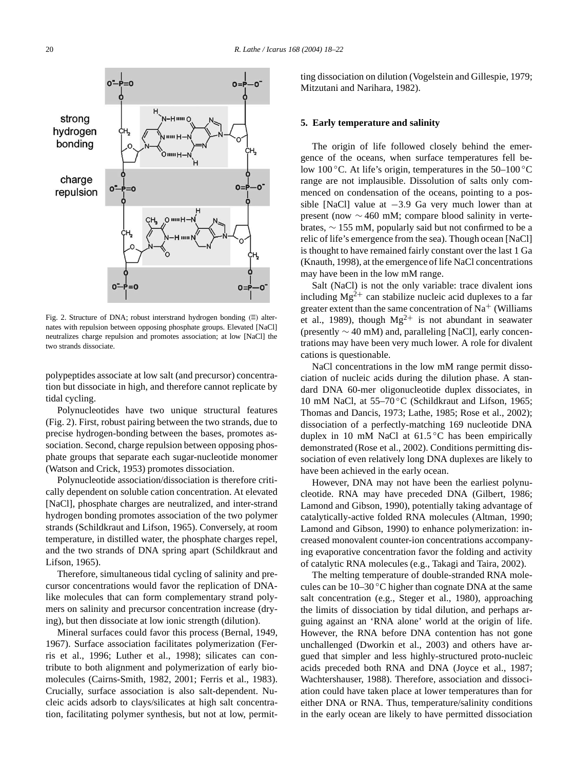

Fig. 2. Structure of DNA; robust interstrand hydrogen bonding  $(\mathbb{N})$  alternates with repulsion between opposing phosphate groups. Elevated [NaCl] neutralizes charge repulsion and promotes association; at low [NaCl] the two strands dissociate.

polypeptides associate at low salt (and precursor) concentration but dissociate in high, and therefore cannot replicate by tidal cycling.

Polynucleotides have two unique structural features (Fig. 2). First, robust pairing between the two strands, due to precise hydrogen-bonding between the bases, promotes association. Second, charge repulsion between opposing phosphate groups that separate each sugar-nucleotide monomer (Watson and Crick, 1953) promotes dissociation.

Polynucleotide association/dissociation is therefore critically dependent on soluble cation concentration. At elevated [NaCl], phosphate charges are neutralized, and inter-strand hydrogen bonding promotes association of the two polymer strands (Schildkraut and Lifson, 1965). Conversely, at room temperature, in distilled water, the phosphate charges repel, and the two strands of DNA spring apart (Schildkraut and Lifson, 1965).

Therefore, simultaneous tidal cycling of salinity and precursor concentrations would favor the replication of DNAlike molecules that can form complementary strand polymers on salinity and precursor concentration increase (drying), but then dissociate at low ionic strength (dilution).

Mineral surfaces could favor this process (Bernal, 1949, 1967). Surface association facilitates polymerization (Ferris et al., 1996; Luther et al., 1998); silicates can contribute to both alignment and polymerization of early biomolecules (Cairns-Smith, 1982, 2001; Ferris et al., 1983). Crucially, surface association is also salt-dependent. Nucleic acids adsorb to clays/silicates at high salt concentration, facilitating polymer synthesis, but not at low, permitting dissociation on dilution (Vogelstein and Gillespie, 1979; Mitzutani and Narihara, 1982).

#### **5. Early temperature and salinity**

The origin of life followed closely behind the emergence of the oceans, when surface temperatures fell below 100 $\degree$ C. At life's origin, temperatures in the 50–100 $\degree$ C range are not implausible. Dissolution of salts only commenced on condensation of the oceans, pointing to a possible [NaCl] value at −3*.*9 Ga very much lower than at present (now ∼ 460 mM; compare blood salinity in vertebrates, ∼ 155 mM, popularly said but not confirmed to be a relic of life's emergence from the sea). Though ocean [NaCl] is thought to have remained fairly constant over the last 1 Ga (Knauth, 1998), at the emergence of life NaCl concentrations may have been in the low mM range.

Salt (NaCl) is not the only variable: trace divalent ions including  $Mg^{2+}$  can stabilize nucleic acid duplexes to a far greater extent than the same concentration of  $Na<sup>+</sup>$  (Williams et al., 1989), though  $Mg^{2+}$  is not abundant in seawater (presently ∼ 40 mM) and, paralleling [NaCl], early concentrations may have been very much lower. A role for divalent cations is questionable.

NaCl concentrations in the low mM range permit dissociation of nucleic acids during the dilution phase. A standard DNA 60-mer oligonucleotide duplex dissociates, in 10 mM NaCl, at 55–70 ◦C (Schildkraut and Lifson, 1965; Thomas and Dancis, 1973; Lathe, 1985; Rose et al., 2002); dissociation of a perfectly-matching 169 nucleotide DNA duplex in 10 mM NaCl at  $61.5\degree$ C has been empirically demonstrated (Rose et al., 2002). Conditions permitting dissociation of even relatively long DNA duplexes are likely to have been achieved in the early ocean.

However, DNA may not have been the earliest polynucleotide. RNA may have preceded DNA (Gilbert, 1986; Lamond and Gibson, 1990), potentially taking advantage of catalytically-active folded RNA molecules (Altman, 1990; Lamond and Gibson, 1990) to enhance polymerization: increased monovalent counter-ion concentrations accompanying evaporative concentration favor the folding and activity of catalytic RNA molecules (e.g., Takagi and Taira, 2002).

The melting temperature of double-stranded RNA molecules can be 10–30 ◦C higher than cognate DNA at the same salt concentration (e.g., Steger et al., 1980), approaching the limits of dissociation by tidal dilution, and perhaps arguing against an 'RNA alone' world at the origin of life. However, the RNA before DNA contention has not gone unchallenged (Dworkin et al., 2003) and others have argued that simpler and less highly-structured proto-nucleic acids preceded both RNA and DNA (Joyce et al., 1987; Wachtershauser, 1988). Therefore, association and dissociation could have taken place at lower temperatures than for either DNA or RNA. Thus, temperature/salinity conditions in the early ocean are likely to have permitted dissociation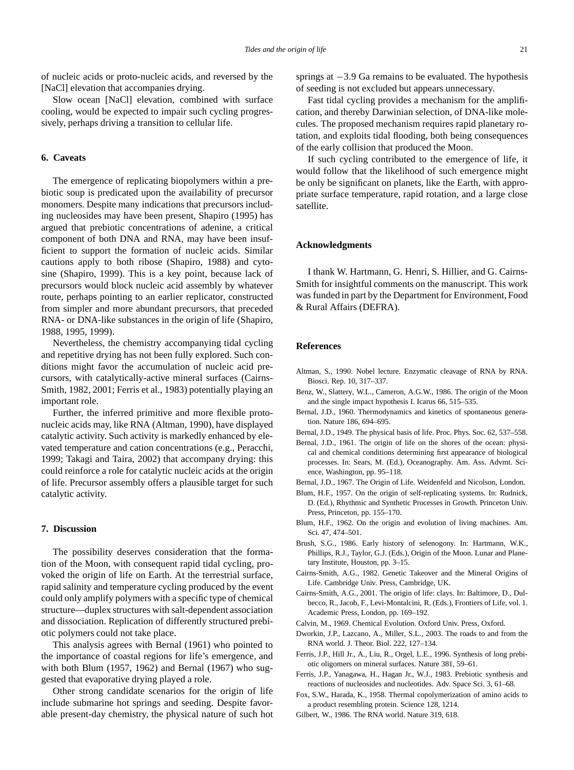of nucleic acids or proto-nucleic acids, and reversed by the [NaCl] elevation that accompanies drying.

Slow ocean [NaCl] elevation, combined with surface cooling, would be expected to impair such cycling progressively, perhaps driving a transition to cellular life.

# **6. Caveats**

The emergence of replicating biopolymers within a prebiotic soup is predicated upon the availability of precursor monomers. Despite many indications that precursors including nucleosides may have been present, Shapiro (1995) has argued that prebiotic concentrations of adenine, a critical component of both DNA and RNA, may have been insufficient to support the formation of nucleic acids. Similar cautions apply to both ribose (Shapiro, 1988) and cytosine (Shapiro, 1999). This is a key point, because lack of precursors would block nucleic acid assembly by whatever route, perhaps pointing to an earlier replicator, constructed from simpler and more abundant precursors, that preceded RNA- or DNA-like substances in the origin of life (Shapiro, 1988, 1995, 1999).

Nevertheless, the chemistry accompanying tidal cycling and repetitive drying has not been fully explored. Such conditions might favor the accumulation of nucleic acid precursors, with catalytically-active mineral surfaces (Cairns-Smith, 1982, 2001; Ferris et al., 1983) potentially playing an important role.

Further, the inferred primitive and more flexible protonucleic acids may, like RNA (Altman, 1990), have displayed catalytic activity. Such activity is markedly enhanced by elevated temperature and cation concentrations (e.g., Peracchi, 1999; Takagi and Taira, 2002) that accompany drying: this could reinforce a role for catalytic nucleic acids at the origin of life. Precursor assembly offers a plausible target for such catalytic activity.

# **7. Discussion**

The possibility deserves consideration that the formation of the Moon, with consequent rapid tidal cycling, provoked the origin of life on Earth. At the terrestrial surface, rapid salinity and temperature cycling produced by the event could only amplify polymers with a specific type of chemical structure—duplex structures with salt-dependent association and dissociation. Replication of differently structured prebiotic polymers could not take place.

This analysis agrees with Bernal (1961) who pointed to the importance of coastal regions for life's emergence, and with both Blum (1957, 1962) and Bernal (1967) who suggested that evaporative drying played a role.

Other strong candidate scenarios for the origin of life include submarine hot springs and seeding. Despite favorable present-day chemistry, the physical nature of such hot springs at −3*.*9 Ga remains to be evaluated. The hypothesis of seeding is not excluded but appears unnecessary.

Fast tidal cycling provides a mechanism for the amplification, and thereby Darwinian selection, of DNA-like molecules. The proposed mechanism requires rapid planetary rotation, and exploits tidal flooding, both being consequences of the early collision that produced the Moon.

If such cycling contributed to the emergence of life, it would follow that the likelihood of such emergence might be only be significant on planets, like the Earth, with appropriate surface temperature, rapid rotation, and a large close satellite.

# **Acknowledgments**

I thank W. Hartmann, G. Henri, S. Hillier, and G. Cairns-Smith for insightful comments on the manuscript. This work was funded in part by the Department for Environment, Food & Rural Affairs (DEFRA).

#### **References**

- Altman, S., 1990. Nobel lecture. Enzymatic cleavage of RNA by RNA. Biosci. Rep. 10, 317–337.
- Benz, W., Slattery, W.L., Cameron, A.G.W., 1986. The origin of the Moon and the single impact hypothesis I. Icarus 66, 515–535.
- Bernal, J.D., 1960. Thermodynamics and kinetics of spontaneous generation. Nature 186, 694–695.
- Bernal, J.D., 1949. The physical basis of life. Proc. Phys. Soc. 62, 537–558.
- Bernal, J.D., 1961. The origin of life on the shores of the ocean: physical and chemical conditions determining first appearance of biological processes. In: Sears, M. (Ed.), Oceanography. Am. Ass. Advmt. Science, Washington, pp. 95–118.
- Bernal, J.D., 1967. The Origin of Life. Weidenfeld and Nicolson, London.
- Blum, H.F., 1957. On the origin of self-replicating systems. In: Rudnick, D. (Ed.), Rhythmic and Synthetic Processes in Growth. Princeton Univ. Press, Princeton, pp. 155–170.
- Blum, H.F., 1962. On the origin and evolution of living machines. Am. Sci. 47, 474–501.
- Brush, S.G., 1986. Early history of selenogony. In: Hartmann, W.K., Phillips, R.J., Taylor, G.J. (Eds.), Origin of the Moon. Lunar and Planetary Institute, Houston, pp. 3–15.
- Cairns-Smith, A.G., 1982. Genetic Takeover and the Mineral Origins of Life. Cambridge Univ. Press, Cambridge, UK.
- Cairns-Smith, A.G., 2001. The origin of life: clays. In: Baltimore, D., Dulbecco, R., Jacob, F., Levi-Montalcini, R. (Eds.), Frontiers of Life, vol. 1. Academic Press, London, pp. 169–192.
- Calvin, M., 1969. Chemical Evolution. Oxford Univ. Press, Oxford.
- Dworkin, J.P., Lazcano, A., Miller, S.L., 2003. The roads to and from the RNA world. J. Theor. Biol. 222, 127–134.
- Ferris, J.P., Hill Jr., A., Liu, R., Orgel, L.E., 1996. Synthesis of long prebiotic oligomers on mineral surfaces. Nature 381, 59–61.
- Ferris, J.P., Yanagawa, H., Hagan Jr., W.J., 1983. Prebiotic synthesis and reactions of nucleosides and nucleotides. Adv. Space Sci. 3, 61–68.
- Fox, S.W., Harada, K., 1958. Thermal copolymerization of amino acids to a product resembling protein. Science 128, 1214.
- Gilbert, W., 1986. The RNA world. Nature 319, 618.